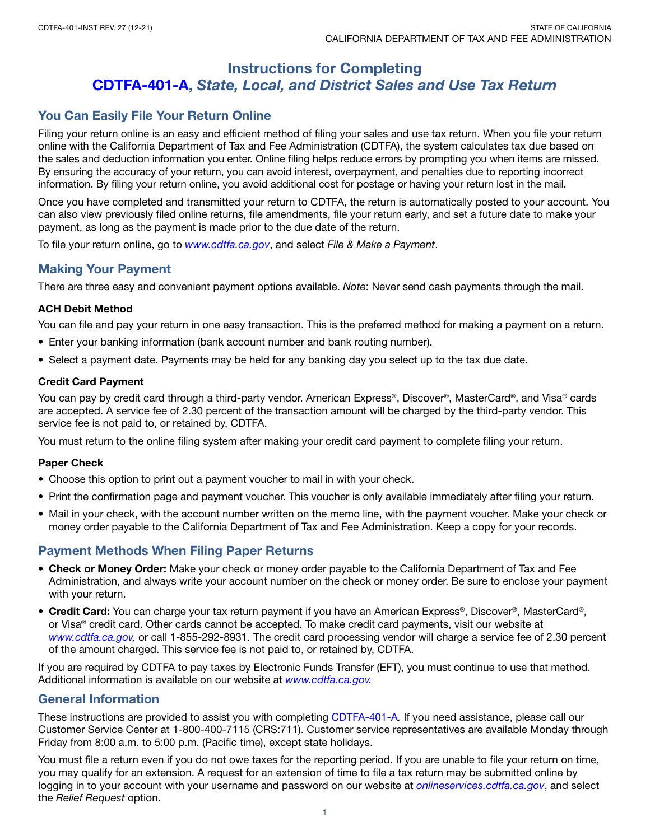# Instructions for Completing [CDTFA-401-A,](https://www.cdtfa.ca.gov/DownloadFile.ashx?path=/formspubs/cdtfa401a.pdf) *State, Local, and District Sales and Use Tax Return*

# You Can Easily File Your Return Online

Filing your return online is an easy and efficient method of filing your sales and use tax return. When you file your return online with the California Department of Tax and Fee Administration (CDTFA), the system calculates tax due based on the sales and deduction information you enter. Online filing helps reduce errors by prompting you when items are missed. By ensuring the accuracy of your return, you can avoid interest, overpayment, and penalties due to reporting incorrect information. By filing your return online, you avoid additional cost for postage or having your return lost in the mail.

Once you have completed and transmitted your return to CDTFA, the return is automatically posted to your account. You can also view previously filed online returns, file amendments, file your return early, and set a future date to make your payment, as long as the payment is made prior to the due date of the return.

To file your return online, go to *[www.cdtfa.ca.gov](http://www.cdtfa.ca.gov)*, and select *File & Make a Payment*.

# Making Your Payment

There are three easy and convenient payment options available. *Note*: Never send cash payments through the mail.

# ACH Debit Method

You can file and pay your return in one easy transaction. This is the preferred method for making a payment on a return.

- Enter your banking information (bank account number and bank routing number).
- Select a payment date. Payments may be held for any banking day you select up to the tax due date.

## Credit Card Payment

You can pay by credit card through a third-party vendor. American Express®, Discover®, MasterCard®, and Visa® cards are accepted. A service fee of 2.30 percent of the transaction amount will be charged by the third-party vendor. This service fee is not paid to, or retained by, CDTFA.

You must return to the online filing system after making your credit card payment to complete filing your return.

## Paper Check

- Choose this option to print out a payment voucher to mail in with your check.
- Print the confirmation page and payment voucher. This voucher is only available immediately after filing your return.
- Mail in your check, with the account number written on the memo line, with the payment voucher. Make your check or money order payable to the California Department of Tax and Fee Administration. Keep a copy for your records.

# Payment Methods When Filing Paper Returns

- Check or Money Order: Make your check or money order payable to the California Department of Tax and Fee Administration, and always write your account number on the check or money order. Be sure to enclose your payment with your return.
- Credit Card: You can charge your tax return payment if you have an American Express®, Discover®, MasterCard®, or Visa® credit card. Other cards cannot be accepted. To make credit card payments, visit our website at *[www.cdtfa.ca.gov,](http://www.cdtfa.ca.gov)* or call 1-855-292-8931. The credit card processing vendor will charge a service fee of 2.30 percent of the amount charged. This service fee is not paid to, or retained by, CDTFA.

If you are required by CDTFA to pay taxes by Electronic Funds Transfer (EFT), you must continue to use that method. Additional information is available on our website at *[www.cdtfa.ca.gov.](http://www.cdtfa.ca.gov)*

# General Information

These instructions are provided to assist you with completing [CDTFA-401-A](https://www.cdtfa.ca.gov/DownloadFile.ashx?path=/formspubs/cdtfa401a.pdf)*.* If you need assistance, please call our Customer Service Center at 1-800-400-7115 (CRS:711). Customer service representatives are available Monday through Friday from 8:00 a.m. to 5:00 p.m. (Pacific time), except state holidays.

You must file a return even if you do not owe taxes for the reporting period. If you are unable to file your return on time, you may qualify for an extension. A request for an extension of time to file a tax return may be submitted online by logging in to your account with your username and password on our website at *[onlineservices.cdtfa.ca.gov](http://onlineservices.cdtfa.ca.gov)*, and select the *Relief Request* option.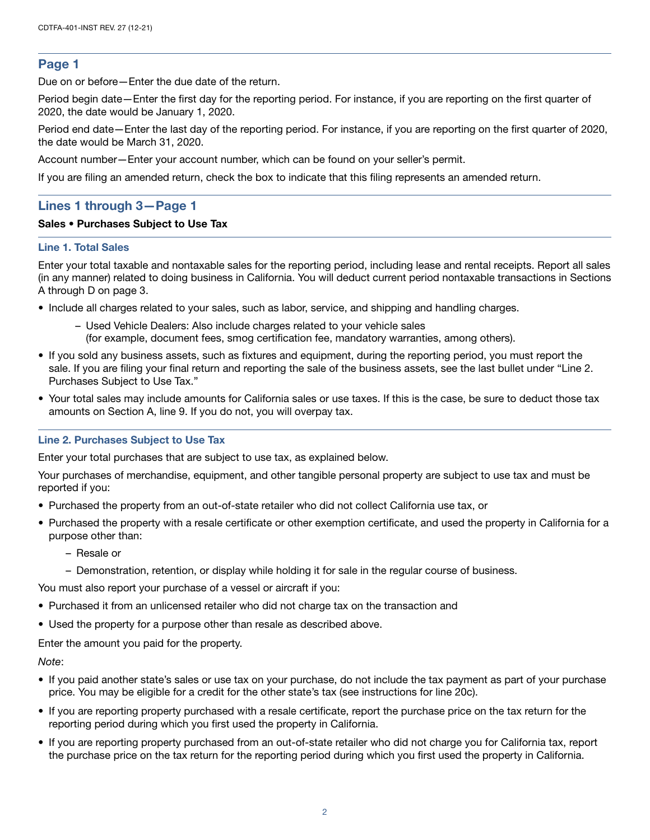# Page 1

Due on or before—Enter the due date of the return.

Period begin date—Enter the first day for the reporting period. For instance, if you are reporting on the first quarter of 2020, the date would be January 1, 2020.

Period end date—Enter the last day of the reporting period. For instance, if you are reporting on the first quarter of 2020, the date would be March 31, 2020.

Account number—Enter your account number, which can be found on your seller's permit.

If you are filing an amended return, check the box to indicate that this filing represents an amended return.

# Lines 1 through 3—Page 1

## Sales • Purchases Subject to Use Tax

#### Line 1. Total Sales

Enter your total taxable and nontaxable sales for the reporting period, including lease and rental receipts. Report all sales (in any manner) related to doing business in California. You will deduct current period nontaxable transactions in Sections A through D on page 3.

- Include all charges related to your sales, such as labor, service, and shipping and handling charges.
	- Used Vehicle Dealers: Also include charges related to your vehicle sales (for example, document fees, smog certification fee, mandatory warranties, among others).
- If you sold any business assets, such as fixtures and equipment, during the reporting period, you must report the sale. If you are filing your final return and reporting the sale of the business assets, see the last bullet under "Line 2. Purchases Subject to Use Tax."
- Your total sales may include amounts for California sales or use taxes. If this is the case, be sure to deduct those tax amounts on Section A, line 9. If you do not, you will overpay tax.

## Line 2. Purchases Subject to Use Tax

Enter your total purchases that are subject to use tax, as explained below.

Your purchases of merchandise, equipment, and other tangible personal property are subject to use tax and must be reported if you:

- Purchased the property from an out-of-state retailer who did not collect California use tax, or
- Purchased the property with a resale certificate or other exemption certificate, and used the property in California for a purpose other than:
	- Resale or
	- Demonstration, retention, or display while holding it for sale in the regular course of business.

You must also report your purchase of a vessel or aircraft if you:

- Purchased it from an unlicensed retailer who did not charge tax on the transaction and
- Used the property for a purpose other than resale as described above.

Enter the amount you paid for the property.

#### *Note*:

- If you paid another state's sales or use tax on your purchase, do not include the tax payment as part of your purchase price. You may be eligible for a credit for the other state's tax (see instructions for line 20c).
- If you are reporting property purchased with a resale certificate, report the purchase price on the tax return for the reporting period during which you first used the property in California.
- If you are reporting property purchased from an out-of-state retailer who did not charge you for California tax, report the purchase price on the tax return for the reporting period during which you first used the property in California.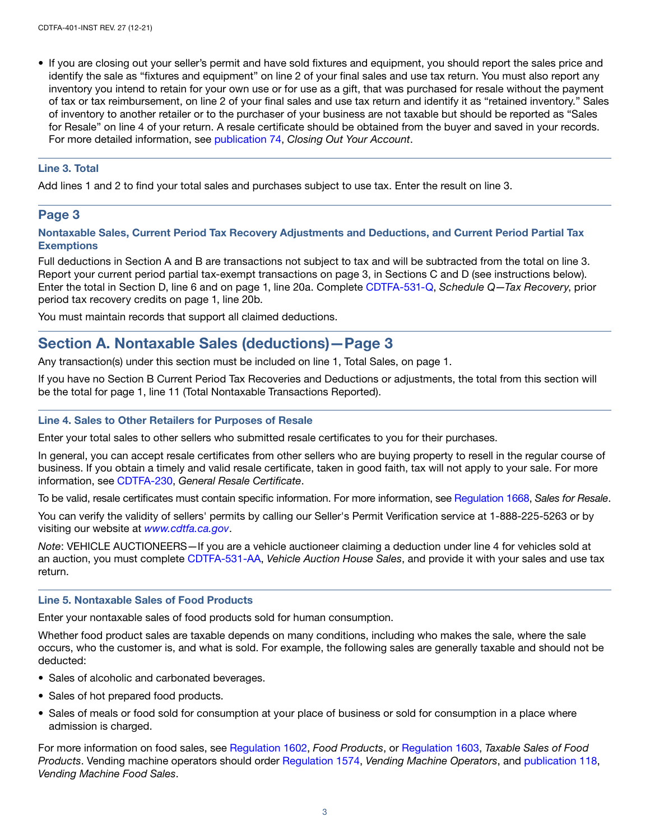• If you are closing out your seller's permit and have sold fixtures and equipment, you should report the sales price and identify the sale as "fixtures and equipment" on line 2 of your final sales and use tax return. You must also report any inventory you intend to retain for your own use or for use as a gift, that was purchased for resale without the payment of tax or tax reimbursement, on line 2 of your final sales and use tax return and identify it as "retained inventory." Sales of inventory to another retailer or to the purchaser of your business are not taxable but should be reported as "Sales for Resale" on line 4 of your return. A resale certificate should be obtained from the buyer and saved in your records. For more detailed information, see [publication 74](http://www.cdtfa.ca.gov/formspubs/pub74.pdf), *Closing Out Your Account*.

## Line 3. Total

Add lines 1 and 2 to find your total sales and purchases subject to use tax. Enter the result on line 3.

# Page 3

## Nontaxable Sales, Current Period Tax Recovery Adjustments and Deductions, and Current Period Partial Tax **Exemptions**

Full deductions in Section A and B are transactions not subject to tax and will be subtracted from the total on line 3. Report your current period partial tax-exempt transactions on page 3, in Sections C and D (see instructions below). Enter the total in Section D, line 6 and on page 1, line 20a. Complete [CDTFA-531-Q](http://www.cdtfa.ca.gov/formspubs/cdtfa531q.pdf), *Schedule Q—Tax Recovery*, prior period tax recovery credits on page 1, line 20b.

You must maintain records that support all claimed deductions.

# Section A. Nontaxable Sales (deductions)—Page 3

Any transaction(s) under this section must be included on line 1, Total Sales, on page 1.

If you have no Section B Current Period Tax Recoveries and Deductions or adjustments, the total from this section will be the total for page 1, line 11 (Total Nontaxable Transactions Reported).

## Line 4. Sales to Other Retailers for Purposes of Resale

Enter your total sales to other sellers who submitted resale certificates to you for their purchases.

In general, you can accept resale certificates from other sellers who are buying property to resell in the regular course of business. If you obtain a timely and valid resale certificate, taken in good faith, tax will not apply to your sale. For more information, see [CDTFA-230,](http://www.cdtfa.ca.gov/formspubs/cdtfa230.pdf) *General Resale Certificate*.

To be valid, resale certificates must contain specific information. For more information, see [Regulation 1668,](https://www.cdtfa.ca.gov/lawguides/vol1/sutr/1668.html) *Sales for Resale*.

You can verify the validity of sellers' permits by calling our Seller's Permit Verification service at 1-888-225-5263 or by visiting our website at *[www.cdtfa.ca.gov](http://www.cdtfa.ca.gov)*.

*Note*: VEHICLE AUCTIONEERS—If you are a vehicle auctioneer claiming a deduction under line 4 for vehicles sold at an auction, you must complete [CDTFA-531-AA,](http://www.cdtfa.ca.gov/formspubs/cdtfa531aa.pdf) *Vehicle Auction House Sales*, and provide it with your sales and use tax return.

## Line 5. Nontaxable Sales of Food Products

Enter your nontaxable sales of food products sold for human consumption.

Whether food product sales are taxable depends on many conditions, including who makes the sale, where the sale occurs, who the customer is, and what is sold. For example, the following sales are generally taxable and should not be deducted:

- Sales of alcoholic and carbonated beverages.
- Sales of hot prepared food products.
- Sales of meals or food sold for consumption at your place of business or sold for consumption in a place where admission is charged.

For more information on food sales, see [Regulation 1602](https://www.cdtfa.ca.gov/lawguides/vol1/sutr/1602.html), *Food Products*, or [Regulation 1603](https://www.cdtfa.ca.gov/lawguides/vol1/sutr/1603.html), *Taxable Sales of Food Products*. Vending machine operators should order [Regulation 1574](https://www.cdtfa.ca.gov/lawguides/vol1/sutr/1574.html), *Vending Machine Operators*, and [publication 118,](https://www.cdtfa.ca.gov/formspubs/pub118) *Vending Machine Food Sales*.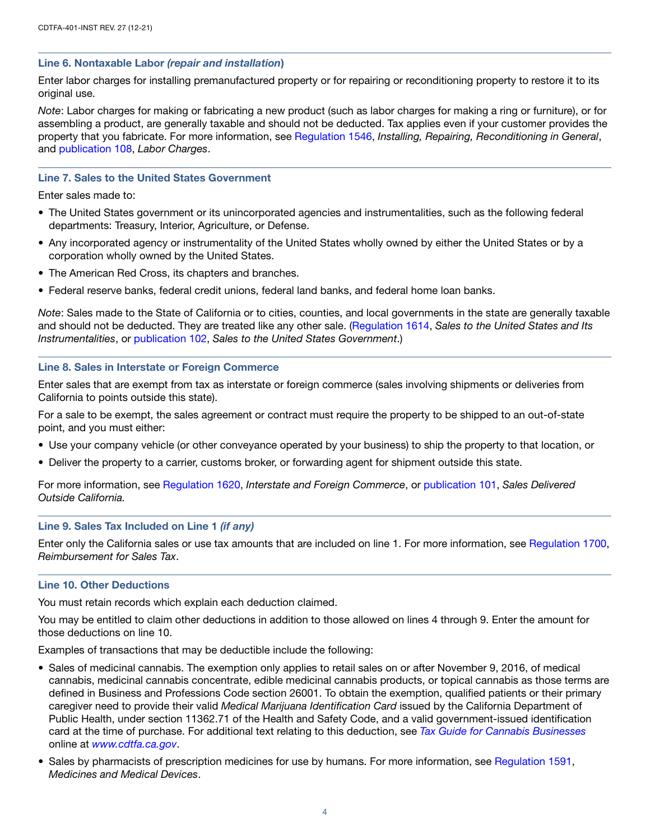## Line 6. Nontaxable Labor *(repair and installation*)

Enter labor charges for installing premanufactured property or for repairing or reconditioning property to restore it to its original use.

*Note*: Labor charges for making or fabricating a new product (such as labor charges for making a ring or furniture), or for assembling a product, are generally taxable and should not be deducted. Tax applies even if your customer provides the property that you fabricate. For more information, see [Regulation 1546,](https://www.cdtfa.ca.gov/lawguides/vol1/sutr/1546.html) *Installing, Repairing, Reconditioning in General*, and [publication 108](http://www.cdtfa.ca.gov/formspubs/pub108/), *Labor Charges*.

## Line 7. Sales to the United States Government

Enter sales made to:

- The United States government or its unincorporated agencies and instrumentalities, such as the following federal departments: Treasury, Interior, Agriculture, or Defense.
- Any incorporated agency or instrumentality of the United States wholly owned by either the United States or by a corporation wholly owned by the United States.
- The American Red Cross, its chapters and branches.
- Federal reserve banks, federal credit unions, federal land banks, and federal home loan banks.

*Note*: Sales made to the State of California or to cities, counties, and local governments in the state are generally taxable and should not be deducted. They are treated like any other sale. ([Regulation 1614,](https://www.cdtfa.ca.gov/lawguides/vol1/sutr/1614.html) *Sales to the United States and Its Instrumentalities*, or [publication 102,](http://www.cdtfa.ca.gov/formspubs/pub102/) *Sales to the United States Government*.)

#### Line 8. Sales in Interstate or Foreign Commerce

Enter sales that are exempt from tax as interstate or foreign commerce (sales involving shipments or deliveries from California to points outside this state).

For a sale to be exempt, the sales agreement or contract must require the property to be shipped to an out-of-state point, and you must either:

- Use your company vehicle (or other conveyance operated by your business) to ship the property to that location, or
- Deliver the property to a carrier, customs broker, or forwarding agent for shipment outside this state.

For more information, see [Regulation 1620](https://www.cdtfa.ca.gov/lawguides/vol1/sutr/1620.html), *Interstate and Foreign Commerce*, or [publication 101](http://www.cdtfa.ca.gov/formspubs/pub101/), *Sales Delivered Outside California.*

#### Line 9. Sales Tax Included on Line 1 *(if any)*

Enter only the California sales or use tax amounts that are included on line 1. For more information, see [Regulation 1700](https://www.cdtfa.ca.gov/lawguides/vol1/sutr/1700.html), *Reimbursement for Sales Tax*.

#### Line 10. Other Deductions

You must retain records which explain each deduction claimed.

You may be entitled to claim other deductions in addition to those allowed on lines 4 through 9. Enter the amount for those deductions on line 10.

Examples of transactions that may be deductible include the following:

- Sales of medicinal cannabis. The exemption only applies to retail sales on or after November 9, 2016, of medical cannabis, medicinal cannabis concentrate, edible medicinal cannabis products, or topical cannabis as those terms are defined in Business and Professions Code section 26001. To obtain the exemption, qualified patients or their primary caregiver need to provide their valid *Medical Marijuana Identification Card* issued by the California Department of Public Health, under section 11362.71 of the Health and Safety Code, and a valid government-issued identification card at the time of purchase. For additional text relating to this deduction, see *[Tax Guide for Cannabis Businesses](https://www.cdtfa.ca.gov/industry/cannabis.htm)* online at *[www.cdtfa.ca.gov](http://www.cdtfa.ca.gov)*.
- Sales by pharmacists of prescription medicines for use by humans. For more information, see [Regulation 1591,](https://www.cdtfa.ca.gov/lawguides/vol1/sutr/1591.html) *Medicines and Medical Devices*.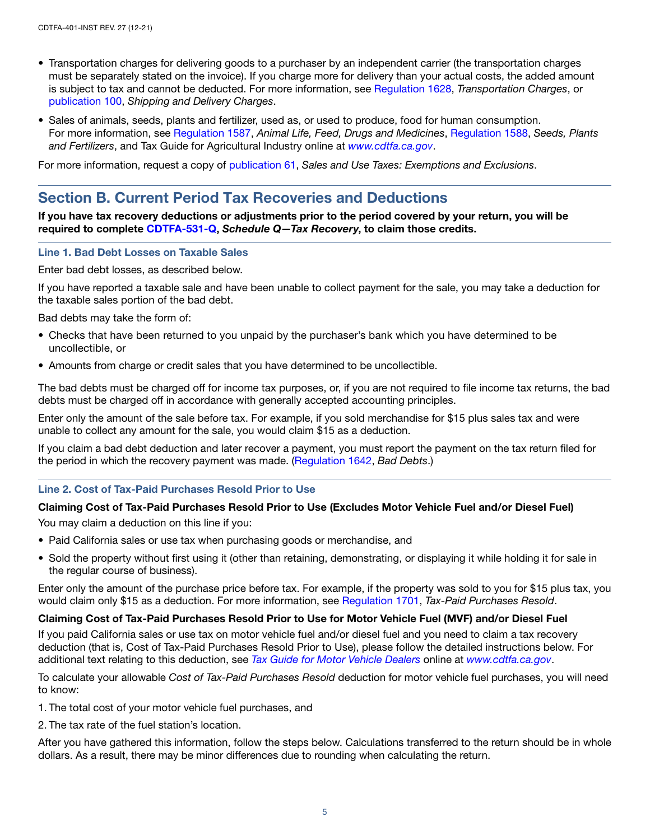- Transportation charges for delivering goods to a purchaser by an independent carrier (the transportation charges must be separately stated on the invoice). If you charge more for delivery than your actual costs, the added amount is subject to tax and cannot be deducted. For more information, see [Regulation 1628](https://www.cdtfa.ca.gov/lawguides/vol1/sutr/1628.html), *Transportation Charges*, or [publication 100,](http://www.cdtfa.ca.gov/formspubs/pub100/) *Shipping and Delivery Charges*.
- Sales of animals, seeds, plants and fertilizer, used as, or used to produce, food for human consumption. For more information, see [Regulation 1587](https://www.cdtfa.ca.gov/lawguides/vol1/sutr/1587.html), *Animal Life, Feed, Drugs and Medicines*, [Regulation 1588](https://www.cdtfa.ca.gov/lawguides/vol1/sutr/1588.html), *Seeds, Plants and Fertilizers*, and Tax Guide for Agricultural Industry online at *[www.cdtfa.ca.gov](http://www.cdtfa.ca.gov)*.

For more information, request a copy of [publication 61](http://www.cdtfa.ca.gov/formspubs/pub61.pdf), *Sales and Use Taxes: Exemptions and Exclusions*.

# Section B. Current Period Tax Recoveries and Deductions

If you have tax recovery deductions or adjustments prior to the period covered by your return, you will be required to complete [CDTFA-531-Q,](http://www.cdtfa.ca.gov/formspubs/cdtfa531q.pdf) *Schedule Q—Tax Recovery*, to claim those credits.

#### Line 1. Bad Debt Losses on Taxable Sales

Enter bad debt losses, as described below.

If you have reported a taxable sale and have been unable to collect payment for the sale, you may take a deduction for the taxable sales portion of the bad debt.

Bad debts may take the form of:

- Checks that have been returned to you unpaid by the purchaser's bank which you have determined to be uncollectible, or
- Amounts from charge or credit sales that you have determined to be uncollectible.

The bad debts must be charged off for income tax purposes, or, if you are not required to file income tax returns, the bad debts must be charged off in accordance with generally accepted accounting principles.

Enter only the amount of the sale before tax. For example, if you sold merchandise for \$15 plus sales tax and were unable to collect any amount for the sale, you would claim \$15 as a deduction.

If you claim a bad debt deduction and later recover a payment, you must report the payment on the tax return filed for the period in which the recovery payment was made. ([Regulation 1642](https://www.cdtfa.ca.gov/lawguides/vol1/sutr/1642.html), *Bad Debts*.)

#### Line 2. Cost of Tax-Paid Purchases Resold Prior to Use

#### Claiming Cost of Tax-Paid Purchases Resold Prior to Use (Excludes Motor Vehicle Fuel and/or Diesel Fuel)

You may claim a deduction on this line if you:

- Paid California sales or use tax when purchasing goods or merchandise, and
- Sold the property without first using it (other than retaining, demonstrating, or displaying it while holding it for sale in the regular course of business).

Enter only the amount of the purchase price before tax. For example, if the property was sold to you for \$15 plus tax, you would claim only \$15 as a deduction. For more information, see [Regulation 1701](https://www.cdtfa.ca.gov/lawguides/vol1/sutr/1701.html), *Tax-Paid Purchases Resold*.

#### Claiming Cost of Tax-Paid Purchases Resold Prior to Use for Motor Vehicle Fuel (MVF) and/or Diesel Fuel

If you paid California sales or use tax on motor vehicle fuel and/or diesel fuel and you need to claim a tax recovery deduction (that is, Cost of Tax-Paid Purchases Resold Prior to Use), please follow the detailed instructions below. For additional text relating to this deduction, see *[Tax Guide for Motor Vehicle Dealers](https://www.cdtfa.ca.gov/industry/used-vehicle-dealers.htm)* online at *[www.cdtfa.ca.gov](http://www.cdtfa.ca.gov)*.

To calculate your allowable *Cost of Tax-Paid Purchases Resold* deduction for motor vehicle fuel purchases, you will need to know:

1. The total cost of your motor vehicle fuel purchases, and

2. The tax rate of the fuel station's location.

After you have gathered this information, follow the steps below. Calculations transferred to the return should be in whole dollars. As a result, there may be minor differences due to rounding when calculating the return.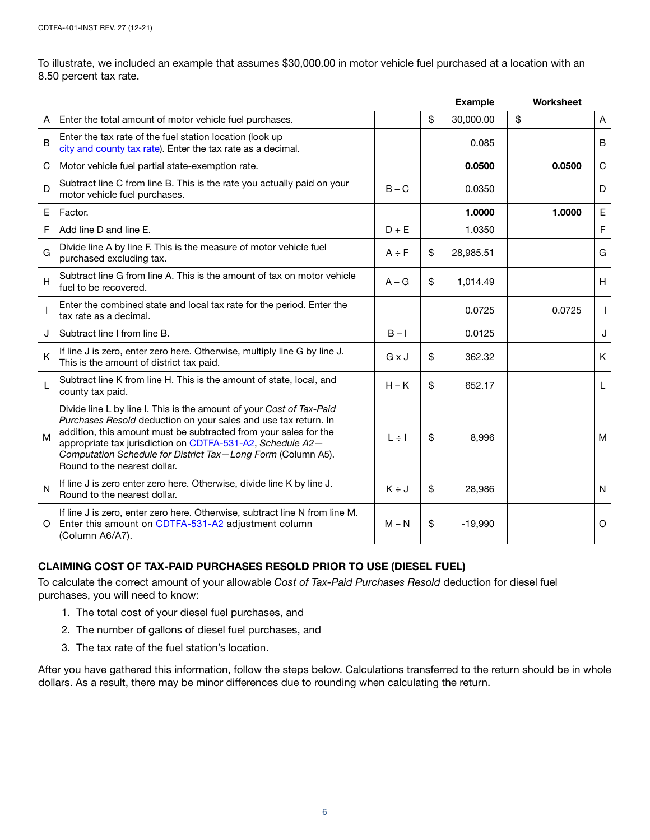To illustrate, we included an example that assumes \$30,000.00 in motor vehicle fuel purchased at a location with an 8.50 percent tax rate.

|             |                                                                                                                                                                                                                                                                                                                                                                           |            | <b>Example</b>  | Worksheet |              |
|-------------|---------------------------------------------------------------------------------------------------------------------------------------------------------------------------------------------------------------------------------------------------------------------------------------------------------------------------------------------------------------------------|------------|-----------------|-----------|--------------|
| A           | Enter the total amount of motor vehicle fuel purchases.                                                                                                                                                                                                                                                                                                                   |            | \$<br>30,000.00 | \$        | A            |
| $\mathsf B$ | Enter the tax rate of the fuel station location (look up<br>city and county tax rate). Enter the tax rate as a decimal.                                                                                                                                                                                                                                                   |            | 0.085           |           | B            |
| C           | Motor vehicle fuel partial state-exemption rate.                                                                                                                                                                                                                                                                                                                          |            | 0.0500          | 0.0500    | $\mathsf{C}$ |
| D           | Subtract line C from line B. This is the rate you actually paid on your<br>motor vehicle fuel purchases.                                                                                                                                                                                                                                                                  | $B - C$    | 0.0350          |           | D            |
| $\mathsf E$ | Factor.                                                                                                                                                                                                                                                                                                                                                                   |            | 1.0000          | 1.0000    | E            |
| F           | Add line D and line E.                                                                                                                                                                                                                                                                                                                                                    | $D + E$    | 1.0350          |           | $\mathsf F$  |
| G           | Divide line A by line F. This is the measure of motor vehicle fuel<br>purchased excluding tax.                                                                                                                                                                                                                                                                            | $A \div F$ | \$<br>28,985.51 |           | G            |
| H           | Subtract line G from line A. This is the amount of tax on motor vehicle<br>fuel to be recovered.                                                                                                                                                                                                                                                                          | $A - G$    | \$<br>1,014.49  |           | H            |
|             | Enter the combined state and local tax rate for the period. Enter the<br>tax rate as a decimal.                                                                                                                                                                                                                                                                           |            | 0.0725          | 0.0725    | I.           |
| J           | Subtract line I from line B.                                                                                                                                                                                                                                                                                                                                              | $B - I$    | 0.0125          |           | J            |
| K           | If line J is zero, enter zero here. Otherwise, multiply line G by line J.<br>This is the amount of district tax paid.                                                                                                                                                                                                                                                     | GxJ        | \$<br>362.32    |           | K            |
| L           | Subtract line K from line H. This is the amount of state, local, and<br>county tax paid.                                                                                                                                                                                                                                                                                  | $H - K$    | \$<br>652.17    |           | L            |
| M           | Divide line L by line I. This is the amount of your Cost of Tax-Paid<br>Purchases Resold deduction on your sales and use tax return. In<br>addition, this amount must be subtracted from your sales for the<br>appropriate tax jurisdiction on CDTFA-531-A2, Schedule A2-<br>Computation Schedule for District Tax-Long Form (Column A5).<br>Round to the nearest dollar. | $L \div I$ | \$<br>8,996     |           | M            |
| N           | If line J is zero enter zero here. Otherwise, divide line K by line J.<br>Round to the nearest dollar.                                                                                                                                                                                                                                                                    | $K \div J$ | \$<br>28,986    |           | N            |
| O           | If line J is zero, enter zero here. Otherwise, subtract line N from line M.<br>Enter this amount on CDTFA-531-A2 adjustment column<br>(Column A6/A7).                                                                                                                                                                                                                     | $M - N$    | \$<br>$-19,990$ |           | O            |

# CLAIMING COST OF TAX-PAID PURCHASES RESOLD PRIOR TO USE (DIESEL FUEL)

To calculate the correct amount of your allowable *Cost of Tax-Paid Purchases Resold* deduction for diesel fuel purchases, you will need to know:

- 1. The total cost of your diesel fuel purchases, and
- 2. The number of gallons of diesel fuel purchases, and
- 3. The tax rate of the fuel station's location.

After you have gathered this information, follow the steps below. Calculations transferred to the return should be in whole dollars. As a result, there may be minor differences due to rounding when calculating the return.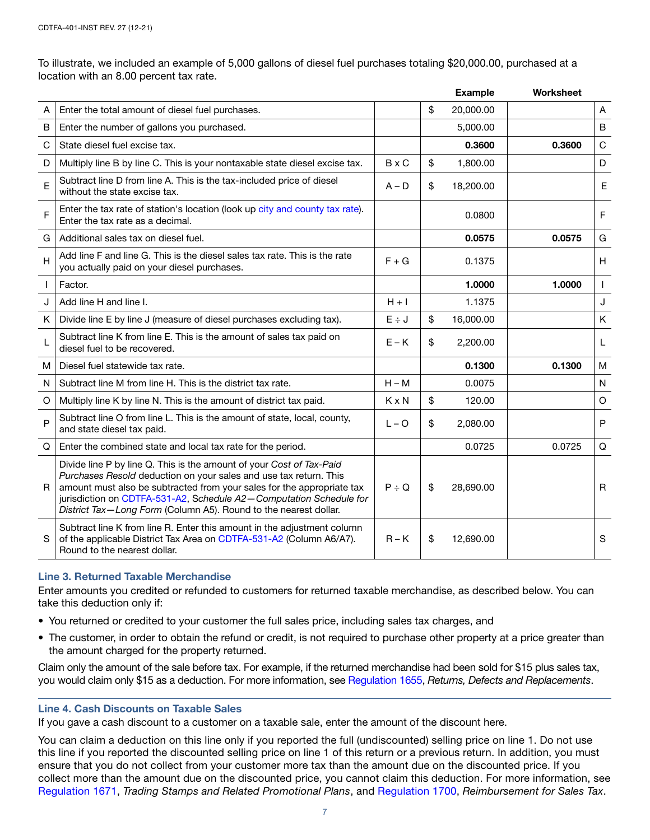To illustrate, we included an example of 5,000 gallons of diesel fuel purchases totaling \$20,000.00, purchased at a location with an 8.00 percent tax rate.

|                |                                                                                                                                                                                                                                                                                                                                                               |              | <b>Example</b>  | Worksheet |              |
|----------------|---------------------------------------------------------------------------------------------------------------------------------------------------------------------------------------------------------------------------------------------------------------------------------------------------------------------------------------------------------------|--------------|-----------------|-----------|--------------|
| A              | Enter the total amount of diesel fuel purchases.                                                                                                                                                                                                                                                                                                              |              | \$<br>20,000.00 |           | A            |
| $\mathsf B$    | Enter the number of gallons you purchased.                                                                                                                                                                                                                                                                                                                    |              | 5,000.00        |           | B            |
| $\mathsf C$    | State diesel fuel excise tax.                                                                                                                                                                                                                                                                                                                                 |              | 0.3600          | 0.3600    | C            |
| D              | Multiply line B by line C. This is your nontaxable state diesel excise tax.                                                                                                                                                                                                                                                                                   | $B \times C$ | \$<br>1,800.00  |           | D            |
| E              | Subtract line D from line A. This is the tax-included price of diesel<br>without the state excise tax.                                                                                                                                                                                                                                                        | $A - D$      | \$<br>18,200.00 |           | Е            |
| F              | Enter the tax rate of station's location (look up city and county tax rate).<br>Enter the tax rate as a decimal.                                                                                                                                                                                                                                              |              | 0.0800          |           | F            |
| G              | Additional sales tax on diesel fuel.                                                                                                                                                                                                                                                                                                                          |              | 0.0575          | 0.0575    | G            |
| $\overline{H}$ | Add line F and line G. This is the diesel sales tax rate. This is the rate<br>you actually paid on your diesel purchases.                                                                                                                                                                                                                                     | $F + G$      | 0.1375          |           | H            |
| $\mathbf{I}$   | Factor.                                                                                                                                                                                                                                                                                                                                                       |              | 1.0000          | 1.0000    | $\mathbf{I}$ |
| J              | Add line H and line I.                                                                                                                                                                                                                                                                                                                                        | $H + I$      | 1.1375          |           | J            |
| K              | Divide line E by line J (measure of diesel purchases excluding tax).                                                                                                                                                                                                                                                                                          | $E \div J$   | \$<br>16,000.00 |           | Κ            |
| L              | Subtract line K from line E. This is the amount of sales tax paid on<br>diesel fuel to be recovered.                                                                                                                                                                                                                                                          | $E - K$      | \$<br>2,200.00  |           | L            |
| м              | Diesel fuel statewide tax rate.                                                                                                                                                                                                                                                                                                                               |              | 0.1300          | 0.1300    | M            |
| N              | Subtract line M from line H. This is the district tax rate.                                                                                                                                                                                                                                                                                                   | $H - M$      | 0.0075          |           | N            |
| $\circ$        | Multiply line K by line N. This is the amount of district tax paid.                                                                                                                                                                                                                                                                                           | $K \times N$ | \$<br>120.00    |           | O            |
| P              | Subtract line O from line L. This is the amount of state, local, county,<br>and state diesel tax paid.                                                                                                                                                                                                                                                        | $L - O$      | \$<br>2,080.00  |           | $\mathsf{P}$ |
| Q              | Enter the combined state and local tax rate for the period.                                                                                                                                                                                                                                                                                                   |              | 0.0725          | 0.0725    | Q            |
| R              | Divide line P by line Q. This is the amount of your Cost of Tax-Paid<br>Purchases Resold deduction on your sales and use tax return. This<br>amount must also be subtracted from your sales for the appropriate tax<br>jurisdiction on CDTFA-531-A2, Schedule A2-Computation Schedule for<br>District Tax-Long Form (Column A5). Round to the nearest dollar. | $P \div Q$   | \$<br>28,690.00 |           | R            |
| S              | Subtract line K from line R. Enter this amount in the adjustment column<br>of the applicable District Tax Area on CDTFA-531-A2 (Column A6/A7).<br>Round to the nearest dollar.                                                                                                                                                                                | $R - K$      | \$<br>12,690.00 |           | S            |

## Line 3. Returned Taxable Merchandise

Enter amounts you credited or refunded to customers for returned taxable merchandise, as described below. You can take this deduction only if:

- You returned or credited to your customer the full sales price, including sales tax charges, and
- The customer, in order to obtain the refund or credit, is not required to purchase other property at a price greater than the amount charged for the property returned.

Claim only the amount of the sale before tax. For example, if the returned merchandise had been sold for \$15 plus sales tax, you would claim only \$15 as a deduction. For more information, see [Regulation 1655,](https://www.cdtfa.ca.gov/lawguides/vol1/sutr/1655.html) *Returns, Defects and Replacements*.

## Line 4. Cash Discounts on Taxable Sales

If you gave a cash discount to a customer on a taxable sale, enter the amount of the discount here.

You can claim a deduction on this line only if you reported the full (undiscounted) selling price on line 1. Do not use this line if you reported the discounted selling price on line 1 of this return or a previous return. In addition, you must ensure that you do not collect from your customer more tax than the amount due on the discounted price. If you collect more than the amount due on the discounted price, you cannot claim this deduction. For more information, see [Regulation 1671](https://www.cdtfa.ca.gov/lawguides/vol1/sutr/1671.html), *Trading Stamps and Related Promotional Plans*, and [Regulation 1700](https://www.cdtfa.ca.gov/lawguides/vol1/sutr/1700.html), *Reimbursement for Sales Tax*.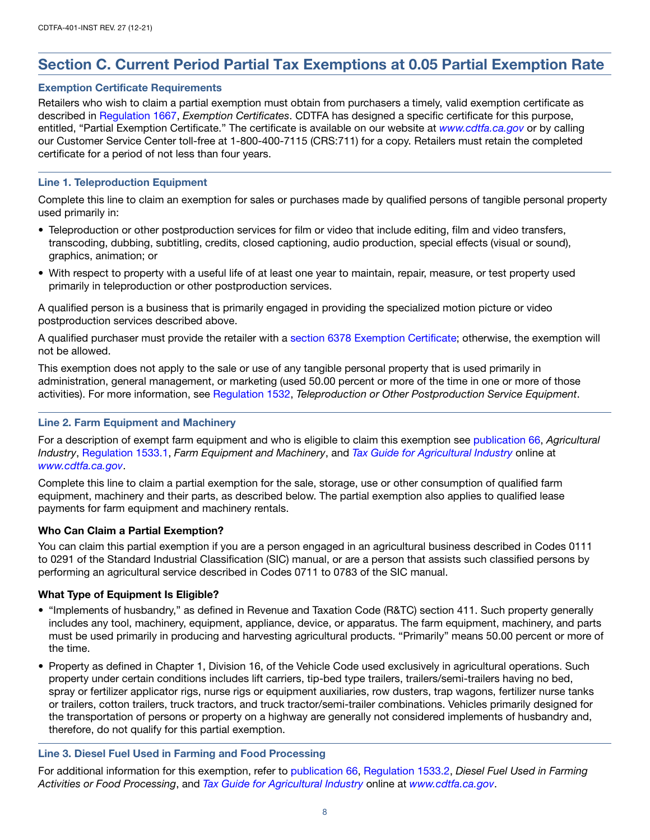# Section C. Current Period Partial Tax Exemptions at 0.05 Partial Exemption Rate

## Exemption Certificate Requirements

Retailers who wish to claim a partial exemption must obtain from purchasers a timely, valid exemption certificate as described in [Regulation 1667,](https://www.cdtfa.ca.gov/lawguides/vol1/sutr/1667.html) *Exemption Certificates*. CDTFA has designed a specific certificate for this purpose, entitled, "Partial Exemption Certificate." The certificate is available on our website at *[www.cdtfa.ca.gov](http://www.cdtfa.ca.gov)* or by calling our Customer Service Center toll-free at 1-800-400-7115 (CRS:711) for a copy. Retailers must retain the completed certificate for a period of not less than four years.

## Line 1. Teleproduction Equipment

Complete this line to claim an exemption for sales or purchases made by qualified persons of tangible personal property used primarily in:

- Teleproduction or other postproduction services for film or video that include editing, film and video transfers, transcoding, dubbing, subtitling, credits, closed captioning, audio production, special effects (visual or sound), graphics, animation; or
- With respect to property with a useful life of at least one year to maintain, repair, measure, or test property used primarily in teleproduction or other postproduction services.

A qualified person is a business that is primarily engaged in providing the specialized motion picture or video postproduction services described above.

A qualified purchaser must provide the retailer with a [section 6378 Exemption Certificate](https://www.cdtfa.ca.gov/lawguides/vol1/sutl/6378.html); otherwise, the exemption will not be allowed.

This exemption does not apply to the sale or use of any tangible personal property that is used primarily in administration, general management, or marketing (used 50.00 percent or more of the time in one or more of those activities). For more information, see [Regulation 1532,](https://www.cdtfa.ca.gov/lawguides/vol1/sutr/1532.html) *Teleproduction or Other Postproduction Service Equipment*.

## Line 2. Farm Equipment and Machinery

For a description of exempt farm equipment and who is eligible to claim this exemption see [publication 66](http://www.cdtfa.ca.gov/formspubs/pub66.pdf), *Agricultural Industry*, [Regulation 1533.1,](https://www.cdtfa.ca.gov/lawguides/vol1/sutr/1533-1.html) *Farm Equipment and Machinery*, and *[Tax Guide for Agricultural Industry](https://www.cdtfa.ca.gov/industry/agriculture.htm)* online at *[www.cdtfa.ca.gov](http://www.cdtfa.ca.gov)*.

Complete this line to claim a partial exemption for the sale, storage, use or other consumption of qualified farm equipment, machinery and their parts, as described below. The partial exemption also applies to qualified lease payments for farm equipment and machinery rentals.

# Who Can Claim a Partial Exemption?

You can claim this partial exemption if you are a person engaged in an agricultural business described in Codes 0111 to 0291 of the Standard Industrial Classification (SIC) manual, or are a person that assists such classified persons by performing an agricultural service described in Codes 0711 to 0783 of the SIC manual.

# What Type of Equipment Is Eligible?

- "Implements of husbandry," as defined in Revenue and Taxation Code (R&TC) section 411. Such property generally includes any tool, machinery, equipment, appliance, device, or apparatus. The farm equipment, machinery, and parts must be used primarily in producing and harvesting agricultural products. "Primarily" means 50.00 percent or more of the time.
- Property as defined in Chapter 1, Division 16, of the Vehicle Code used exclusively in agricultural operations. Such property under certain conditions includes lift carriers, tip-bed type trailers, trailers/semi-trailers having no bed, spray or fertilizer applicator rigs, nurse rigs or equipment auxiliaries, row dusters, trap wagons, fertilizer nurse tanks or trailers, cotton trailers, truck tractors, and truck tractor/semi-trailer combinations. Vehicles primarily designed for the transportation of persons or property on a highway are generally not considered implements of husbandry and, therefore, do not qualify for this partial exemption.

# Line 3. Diesel Fuel Used in Farming and Food Processing

For additional information for this exemption, refer to [publication 66](http://www.cdtfa.ca.gov/formspubs/pub66.pdf), [Regulation 1533.2,](https://www.cdtfa.ca.gov/lawguides/vol1/sutr/1533-2.html) *Diesel Fuel Used in Farming Activities or Food Processing*, and *[Tax Guide for Agricultural Industry](https://www.cdtfa.ca.gov/industry/agriculture.htm)* online at *[www.cdtfa.ca.gov](http://www.cdtfa.ca.gov)*.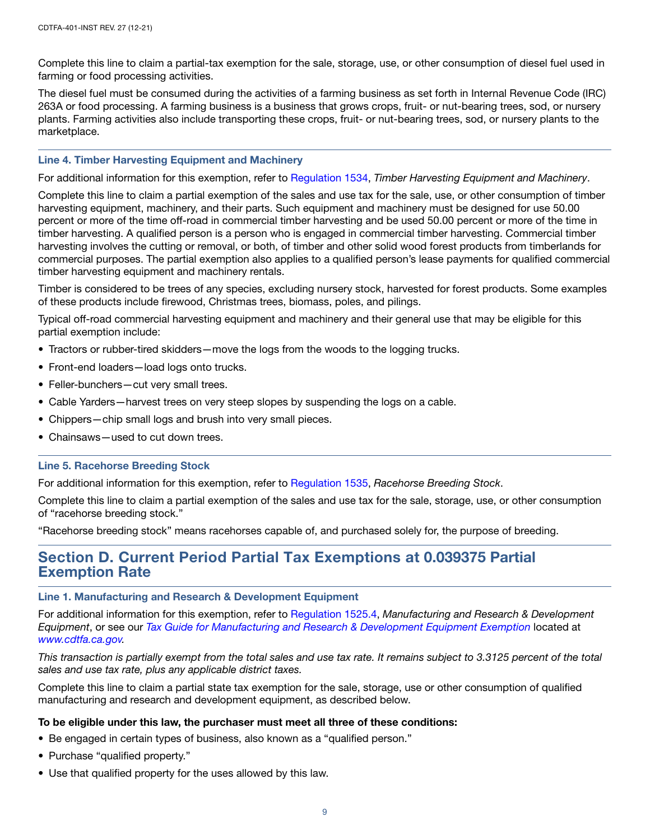Complete this line to claim a partial-tax exemption for the sale, storage, use, or other consumption of diesel fuel used in farming or food processing activities.

The diesel fuel must be consumed during the activities of a farming business as set forth in Internal Revenue Code (IRC) 263A or food processing. A farming business is a business that grows crops, fruit- or nut-bearing trees, sod, or nursery plants. Farming activities also include transporting these crops, fruit- or nut-bearing trees, sod, or nursery plants to the marketplace.

## Line 4. Timber Harvesting Equipment and Machinery

For additional information for this exemption, refer to [Regulation 1534,](https://www.cdtfa.ca.gov/lawguides/vol1/sutr/1534.html) *Timber Harvesting Equipment and Machinery*.

Complete this line to claim a partial exemption of the sales and use tax for the sale, use, or other consumption of timber harvesting equipment, machinery, and their parts. Such equipment and machinery must be designed for use 50.00 percent or more of the time off-road in commercial timber harvesting and be used 50.00 percent or more of the time in timber harvesting. A qualified person is a person who is engaged in commercial timber harvesting. Commercial timber harvesting involves the cutting or removal, or both, of timber and other solid wood forest products from timberlands for commercial purposes. The partial exemption also applies to a qualified person's lease payments for qualified commercial timber harvesting equipment and machinery rentals.

Timber is considered to be trees of any species, excluding nursery stock, harvested for forest products. Some examples of these products include firewood, Christmas trees, biomass, poles, and pilings.

Typical off-road commercial harvesting equipment and machinery and their general use that may be eligible for this partial exemption include:

- Tractors or rubber-tired skidders—move the logs from the woods to the logging trucks.
- Front-end loaders—load logs onto trucks.
- Feller-bunchers—cut very small trees.
- Cable Yarders—harvest trees on very steep slopes by suspending the logs on a cable.
- Chippers—chip small logs and brush into very small pieces.
- Chainsaws—used to cut down trees.

#### Line 5. Racehorse Breeding Stock

For additional information for this exemption, refer to [Regulation 1535,](https://www.cdtfa.ca.gov/lawguides/vol1/sutr/1535.html) *Racehorse Breeding Stock*.

Complete this line to claim a partial exemption of the sales and use tax for the sale, storage, use, or other consumption of "racehorse breeding stock."

"Racehorse breeding stock" means racehorses capable of, and purchased solely for, the purpose of breeding.

# Section D. Current Period Partial Tax Exemptions at 0.039375 Partial Exemption Rate

#### Line 1. Manufacturing and Research & Development Equipment

For additional information for this exemption, refer to [Regulation 1525.4](https://www.cdtfa.ca.gov/lawguides/vol1/sutr/1525-4.html), *Manufacturing and Research & Development Equipment*, or see our *[Tax Guide for Manufacturing and Research & Development Equipment Exemption](https://www.cdtfa.ca.gov/formspubs/pub541.pdf)* located at *[www.cdtfa.ca.gov.](http://www.cdtfa.ca.gov/)*

*This transaction is partially exempt from the total sales and use tax rate. It remains subject to 3.3125 percent of the total sales and use tax rate, plus any applicable district taxes.*

Complete this line to claim a partial state tax exemption for the sale, storage, use or other consumption of qualified manufacturing and research and development equipment, as described below.

#### To be eligible under this law, the purchaser must meet all three of these conditions:

- Be engaged in certain types of business, also known as a "qualified person."
- Purchase "qualified property."
- Use that qualified property for the uses allowed by this law.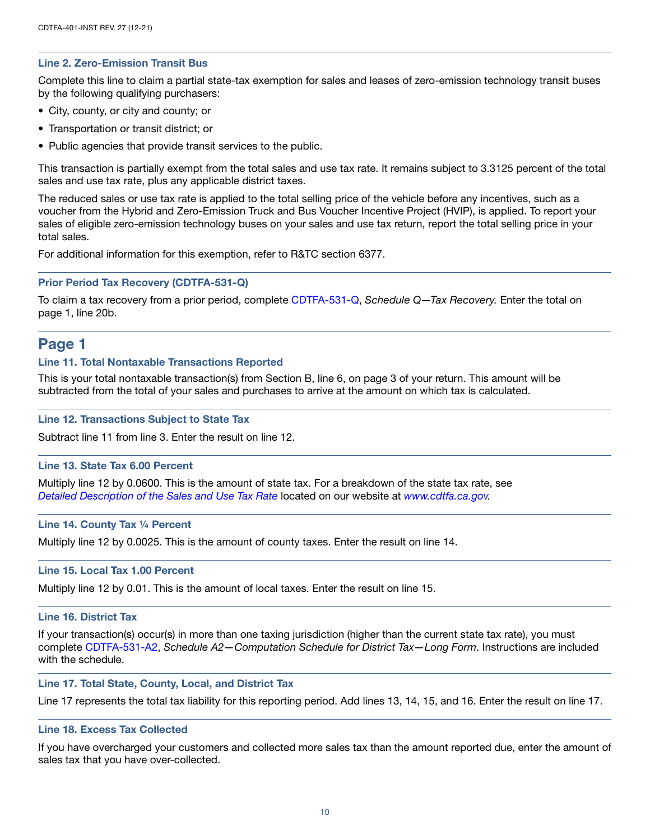## Line 2. Zero-Emission Transit Bus

Complete this line to claim a partial state-tax exemption for sales and leases of zero-emission technology transit buses by the following qualifying purchasers:

- City, county, or city and county; or
- Transportation or transit district; or
- Public agencies that provide transit services to the public.

This transaction is partially exempt from the total sales and use tax rate. It remains subject to 3.3125 percent of the total sales and use tax rate, plus any applicable district taxes.

The reduced sales or use tax rate is applied to the total selling price of the vehicle before any incentives, such as a voucher from the Hybrid and Zero-Emission Truck and Bus Voucher Incentive Project (HVIP), is applied. To report your sales of eligible zero-emission technology buses on your sales and use tax return, report the total selling price in your total sales.

For additional information for this exemption, refer to R&TC section 6377.

## Prior Period Tax Recovery (CDTFA-531-Q)

To claim a tax recovery from a prior period, complete [CDTFA-531-Q](http://www.cdtfa.ca.gov/formspubs/cdtfa531q.pdf), *Schedule Q—Tax Recovery.* Enter the total on page 1, line 20b.

# Page 1

#### Line 11. Total Nontaxable Transactions Reported

This is your total nontaxable transaction(s) from Section B, line 6, on page 3 of your return. This amount will be subtracted from the total of your sales and purchases to arrive at the amount on which tax is calculated.

#### Line 12. Transactions Subject to State Tax

Subtract line 11 from line 3. Enter the result on line 12.

#### Line 13. State Tax 6.00 Percent

Multiply line 12 by 0.0600. This is the amount of state tax. For a breakdown of the state tax rate, see *[Detailed Description of the Sales and Use Tax Rate](https://cdtfa.ca.gov/taxes-and-fees/sut-rates-description.htm)* located on our website at *[www.cdtfa.ca.gov.](http://www.cdtfa.ca.gov)*

#### Line 14. County Tax ¼ Percent

Multiply line 12 by 0.0025. This is the amount of county taxes. Enter the result on line 14.

#### Line 15. Local Tax 1.00 Percent

Multiply line 12 by 0.01. This is the amount of local taxes. Enter the result on line 15.

#### Line 16. District Tax

If your transaction(s) occur(s) in more than one taxing jurisdiction (higher than the current state tax rate), you must complete [CDTFA-531-A2,](http://www.cdtfa.ca.gov/formspubs/cdtfa531a2.pdf) *Schedule A2—Computation Schedule for District Tax—Long Form*. Instructions are included with the schedule.

#### Line 17. Total State, County, Local, and District Tax

Line 17 represents the total tax liability for this reporting period. Add lines 13, 14, 15, and 16. Enter the result on line 17.

#### Line 18. Excess Tax Collected

If you have overcharged your customers and collected more sales tax than the amount reported due, enter the amount of sales tax that you have over-collected.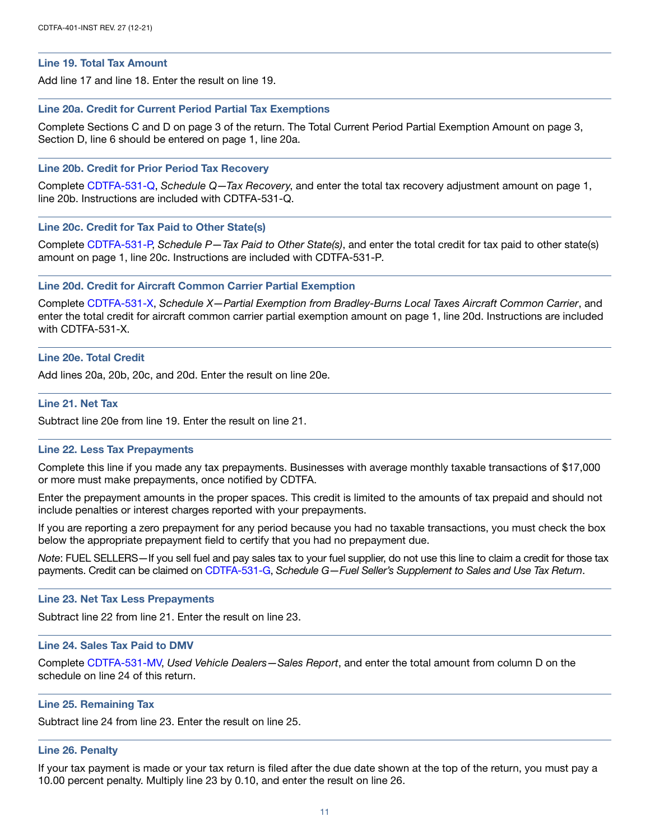#### Line 19. Total Tax Amount

Add line 17 and line 18. Enter the result on line 19.

#### Line 20a. Credit for Current Period Partial Tax Exemptions

Complete Sections C and D on page 3 of the return. The Total Current Period Partial Exemption Amount on page 3, Section D, line 6 should be entered on page 1, line 20a.

#### Line 20b. Credit for Prior Period Tax Recovery

Complete [CDTFA-531-Q](http://www.cdtfa.ca.gov/formspubs/cdtfa531q.pdf), *Schedule Q—Tax Recovery*, and enter the total tax recovery adjustment amount on page 1, line 20b. Instructions are included with CDTFA-531-Q.

## Line 20c. Credit for Tax Paid to Other State(s)

Complete [CDTFA-531-P](http://www.cdtfa.ca.gov/formspubs/cdtfa531p.pdf), *Schedule P—Tax Paid to Other State(s)*, and enter the total credit for tax paid to other state(s) amount on page 1, line 20c. Instructions are included with CDTFA-531-P*.*

#### Line 20d. Credit for Aircraft Common Carrier Partial Exemption

Complete [CDTFA-531-X,](http://www.cdtfa.ca.gov/formspubs/cdtfa531x.pdf) *Schedule X—Partial Exemption from Bradley-Burns Local Taxes Aircraft Common Carrier*, and enter the total credit for aircraft common carrier partial exemption amount on page 1, line 20d. Instructions are included with CDTFA-531-X.

## Line 20e. Total Credit

Add lines 20a, 20b, 20c, and 20d. Enter the result on line 20e.

## Line 21. Net Tax

Subtract line 20e from line 19. Enter the result on line 21.

#### Line 22. Less Tax Prepayments

Complete this line if you made any tax prepayments. Businesses with average monthly taxable transactions of \$17,000 or more must make prepayments, once notified by CDTFA.

Enter the prepayment amounts in the proper spaces. This credit is limited to the amounts of tax prepaid and should not include penalties or interest charges reported with your prepayments.

If you are reporting a zero prepayment for any period because you had no taxable transactions, you must check the box below the appropriate prepayment field to certify that you had no prepayment due.

*Note*: FUEL SELLERS—If you sell fuel and pay sales tax to your fuel supplier, do not use this line to claim a credit for those tax payments. Credit can be claimed on [CDTFA-531-G,](http://www.cdtfa.ca.gov/formspubs/cdtfa531g.pdf) *Schedule G—Fuel Seller's Supplement to Sales and Use Tax Return*.

#### Line 23. Net Tax Less Prepayments

Subtract line 22 from line 21. Enter the result on line 23.

#### Line 24. Sales Tax Paid to DMV

Complete [CDTFA-531-MV,](https://www.cdtfa.ca.gov/DownloadFile.ashx?path=/formspubs/cdtfa531mv.pdf) *Used Vehicle Dealers—Sales Report*, and enter the total amount from column D on the schedule on line 24 of this return.

#### Line 25. Remaining Tax

Subtract line 24 from line 23. Enter the result on line 25.

#### Line 26. Penalty

If your tax payment is made or your tax return is filed after the due date shown at the top of the return, you must pay a 10.00 percent penalty. Multiply line 23 by 0.10, and enter the result on line 26.